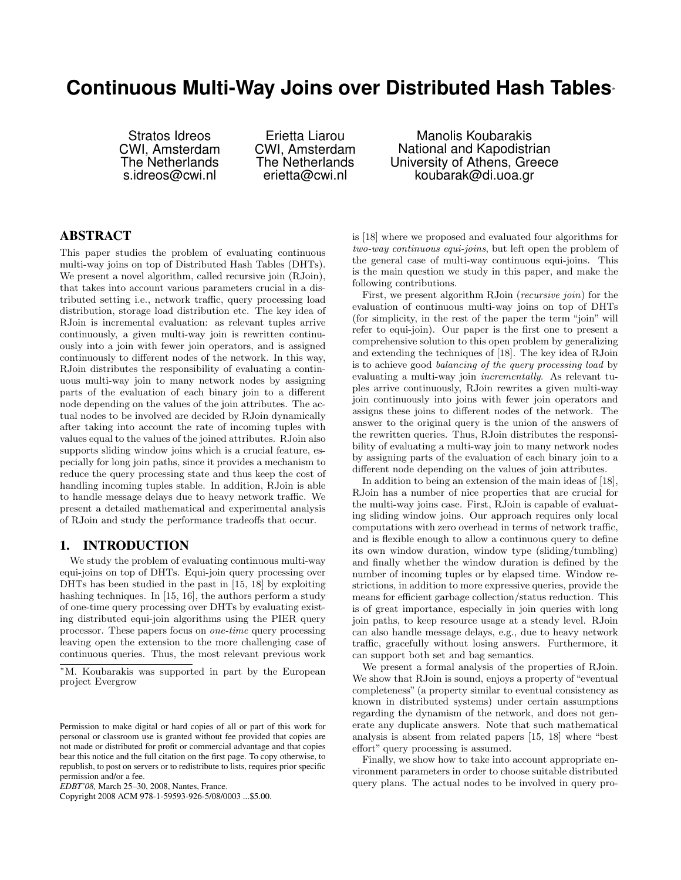# **Continuous Multi-Way Joins over Distributed Hash Tables**<sup>∗</sup>

Stratos Idreos CWI, Amsterdam The Netherlands s.idreos@cwi.nl

Erietta Liarou CWI, Amsterdam The Netherlands erietta@cwi.nl

Manolis Koubarakis National and Kapodistrian University of Athens, Greece koubarak@di.uoa.gr

# ABSTRACT

This paper studies the problem of evaluating continuous multi-way joins on top of Distributed Hash Tables (DHTs). We present a novel algorithm, called recursive join (RJoin), that takes into account various parameters crucial in a distributed setting i.e., network traffic, query processing load distribution, storage load distribution etc. The key idea of RJoin is incremental evaluation: as relevant tuples arrive continuously, a given multi-way join is rewritten continuously into a join with fewer join operators, and is assigned continuously to different nodes of the network. In this way, RJoin distributes the responsibility of evaluating a continuous multi-way join to many network nodes by assigning parts of the evaluation of each binary join to a different node depending on the values of the join attributes. The actual nodes to be involved are decided by RJoin dynamically after taking into account the rate of incoming tuples with values equal to the values of the joined attributes. RJoin also supports sliding window joins which is a crucial feature, especially for long join paths, since it provides a mechanism to reduce the query processing state and thus keep the cost of handling incoming tuples stable. In addition, RJoin is able to handle message delays due to heavy network traffic. We present a detailed mathematical and experimental analysis of RJoin and study the performance tradeoffs that occur.

#### 1. INTRODUCTION

We study the problem of evaluating continuous multi-way equi-joins on top of DHTs. Equi-join query processing over DHTs has been studied in the past in [15, 18] by exploiting hashing techniques. In [15, 16], the authors perform a study of one-time query processing over DHTs by evaluating existing distributed equi-join algorithms using the PIER query processor. These papers focus on one-time query processing leaving open the extension to the more challenging case of continuous queries. Thus, the most relevant previous work

is [18] where we proposed and evaluated four algorithms for two-way continuous equi-joins, but left open the problem of the general case of multi-way continuous equi-joins. This is the main question we study in this paper, and make the following contributions.

First, we present algorithm RJoin (*recursive join*) for the evaluation of continuous multi-way joins on top of DHTs (for simplicity, in the rest of the paper the term "join" will refer to equi-join). Our paper is the first one to present a comprehensive solution to this open problem by generalizing and extending the techniques of [18]. The key idea of RJoin is to achieve good balancing of the query processing load by evaluating a multi-way join incrementally. As relevant tuples arrive continuously, RJoin rewrites a given multi-way join continuously into joins with fewer join operators and assigns these joins to different nodes of the network. The answer to the original query is the union of the answers of the rewritten queries. Thus, RJoin distributes the responsibility of evaluating a multi-way join to many network nodes by assigning parts of the evaluation of each binary join to a different node depending on the values of join attributes.

In addition to being an extension of the main ideas of [18], RJoin has a number of nice properties that are crucial for the multi-way joins case. First, RJoin is capable of evaluating sliding window joins. Our approach requires only local computations with zero overhead in terms of network traffic, and is flexible enough to allow a continuous query to define its own window duration, window type (sliding/tumbling) and finally whether the window duration is defined by the number of incoming tuples or by elapsed time. Window restrictions, in addition to more expressive queries, provide the means for efficient garbage collection/status reduction. This is of great importance, especially in join queries with long join paths, to keep resource usage at a steady level. RJoin can also handle message delays, e.g., due to heavy network traffic, gracefully without losing answers. Furthermore, it can support both set and bag semantics.

We present a formal analysis of the properties of RJoin. We show that RJoin is sound, enjoys a property of "eventual completeness" (a property similar to eventual consistency as known in distributed systems) under certain assumptions regarding the dynamism of the network, and does not generate any duplicate answers. Note that such mathematical analysis is absent from related papers [15, 18] where "best effort" query processing is assumed.

Finally, we show how to take into account appropriate environment parameters in order to choose suitable distributed query plans. The actual nodes to be involved in query pro-

<sup>∗</sup>M. Koubarakis was supported in part by the European project Evergrow

Permission to make digital or hard copies of all or part of this work for personal or classroom use is granted without fee provided that copies are not made or distributed for profit or commercial advantage and that copies bear this notice and the full citation on the first page. To copy otherwise, to republish, to post on servers or to redistribute to lists, requires prior specific permission and/or a fee.

*EDBT'08,* March 25–30, 2008, Nantes, France.

Copyright 2008 ACM 978-1-59593-926-5/08/0003 ...\$5.00.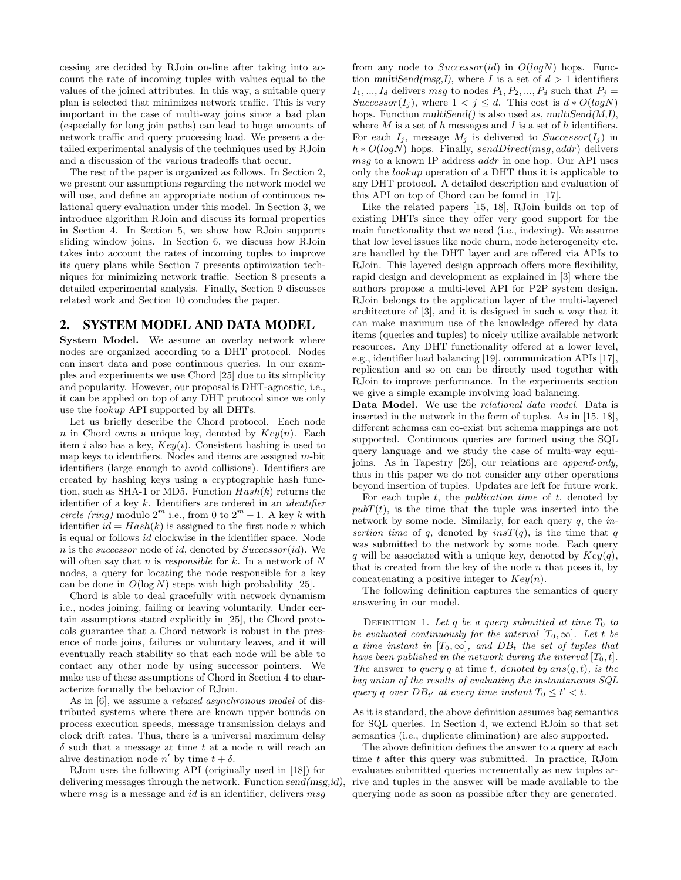cessing are decided by RJoin on-line after taking into account the rate of incoming tuples with values equal to the values of the joined attributes. In this way, a suitable query plan is selected that minimizes network traffic. This is very important in the case of multi-way joins since a bad plan (especially for long join paths) can lead to huge amounts of network traffic and query processing load. We present a detailed experimental analysis of the techniques used by RJoin and a discussion of the various tradeoffs that occur.

The rest of the paper is organized as follows. In Section 2, we present our assumptions regarding the network model we will use, and define an appropriate notion of continuous relational query evaluation under this model. In Section 3, we introduce algorithm RJoin and discuss its formal properties in Section 4. In Section 5, we show how RJoin supports sliding window joins. In Section 6, we discuss how RJoin takes into account the rates of incoming tuples to improve its query plans while Section 7 presents optimization techniques for minimizing network traffic. Section 8 presents a detailed experimental analysis. Finally, Section 9 discusses related work and Section 10 concludes the paper.

## 2. SYSTEM MODEL AND DATA MODEL

System Model. We assume an overlay network where nodes are organized according to a DHT protocol. Nodes can insert data and pose continuous queries. In our examples and experiments we use Chord [25] due to its simplicity and popularity. However, our proposal is DHT-agnostic, i.e., it can be applied on top of any DHT protocol since we only use the lookup API supported by all DHTs.

Let us briefly describe the Chord protocol. Each node n in Chord owns a unique key, denoted by  $Key(n)$ . Each item i also has a key,  $Key(i)$ . Consistent hashing is used to map keys to identifiers. Nodes and items are assigned  $m$ -bit identifiers (large enough to avoid collisions). Identifiers are created by hashing keys using a cryptographic hash function, such as SHA-1 or MD5. Function  $Hash(k)$  returns the identifier of a key  $k$ . Identifiers are ordered in an *identifier* circle (ring) modulo  $2^m$  i.e., from 0 to  $2^m - 1$ . A key k with identifier  $id = Hash(k)$  is assigned to the first node n which is equal or follows id clockwise in the identifier space. Node  $n$  is the *successor* node of *id*, denoted by  $Successor(id)$ . We will often say that n is responsible for  $k$ . In a network of  $N$ nodes, a query for locating the node responsible for a key can be done in  $O(\log N)$  steps with high probability [25].

Chord is able to deal gracefully with network dynamism i.e., nodes joining, failing or leaving voluntarily. Under certain assumptions stated explicitly in [25], the Chord protocols guarantee that a Chord network is robust in the presence of node joins, failures or voluntary leaves, and it will eventually reach stability so that each node will be able to contact any other node by using successor pointers. We make use of these assumptions of Chord in Section 4 to characterize formally the behavior of RJoin.

As in [6], we assume a *relaxed asynchronous model* of distributed systems where there are known upper bounds on process execution speeds, message transmission delays and clock drift rates. Thus, there is a universal maximum delay  $\delta$  such that a message at time t at a node n will reach an alive destination node  $n'$  by time  $t + \delta$ .

RJoin uses the following API (originally used in [18]) for delivering messages through the network. Function send(msg,id), where  $msg$  is a message and *id* is an identifier, delivers  $msg$ 

from any node to  $Successor(id)$  in  $O(logN)$  hops. Function multiSend(msg,I), where I is a set of  $d > 1$  identifiers  $I_1, ..., I_d$  delivers msg to nodes  $P_1, P_2, ..., P_d$  such that  $P_j =$  $Successor(I_j)$ , where  $1 \lt j \leq d$ . This cost is  $d * O(logN)$ hops. Function multiSend() is also used as, multiSend(M,I), where  $M$  is a set of  $h$  messages and  $I$  is a set of  $h$  identifiers. For each  $I_i$ , message  $M_i$  is delivered to  $Successor(I_i)$  in  $h * O(logN)$  hops. Finally, sendDirect(msg, addr) delivers msg to a known IP address addr in one hop. Our API uses only the lookup operation of a DHT thus it is applicable to any DHT protocol. A detailed description and evaluation of this API on top of Chord can be found in [17].

Like the related papers [15, 18], RJoin builds on top of existing DHTs since they offer very good support for the main functionality that we need (i.e., indexing). We assume that low level issues like node churn, node heterogeneity etc. are handled by the DHT layer and are offered via APIs to RJoin. This layered design approach offers more flexibility, rapid design and development as explained in [3] where the authors propose a multi-level API for P2P system design. RJoin belongs to the application layer of the multi-layered architecture of [3], and it is designed in such a way that it can make maximum use of the knowledge offered by data items (queries and tuples) to nicely utilize available network resources. Any DHT functionality offered at a lower level, e.g., identifier load balancing [19], communication APIs [17], replication and so on can be directly used together with RJoin to improve performance. In the experiments section we give a simple example involving load balancing.

Data Model. We use the relational data model. Data is inserted in the network in the form of tuples. As in [15, 18], different schemas can co-exist but schema mappings are not supported. Continuous queries are formed using the SQL query language and we study the case of multi-way equijoins. As in Tapestry [26], our relations are append-only, thus in this paper we do not consider any other operations beyond insertion of tuples. Updates are left for future work.

For each tuple  $t$ , the *publication time* of  $t$ , denoted by  $pubT(t)$ , is the time that the tuple was inserted into the network by some node. Similarly, for each query  $q$ , the  $in$ sertion time of q, denoted by  $insT(q)$ , is the time that q was submitted to the network by some node. Each query q will be associated with a unique key, denoted by  $Key(q)$ , that is created from the key of the node  $n$  that poses it, by concatenating a positive integer to  $Key(n)$ .

The following definition captures the semantics of query answering in our model.

DEFINITION 1. Let  $q$  be a query submitted at time  $T_0$  to be evaluated continuously for the interval  $[T_0, \infty]$ . Let t be a time instant in  $[T_0, \infty]$ , and  $DB_t$  the set of tuples that have been published in the network during the interval  $[T_0, t]$ . The answer to query q at time t, denoted by  $ans(q, t)$ , is the bag union of the results of evaluating the instantaneous SQL query q over  $DB_{t'}$  at every time instant  $T_0 \leq t' < t$ .

As it is standard, the above definition assumes bag semantics for SQL queries. In Section 4, we extend RJoin so that set semantics (i.e., duplicate elimination) are also supported.

The above definition defines the answer to a query at each time t after this query was submitted. In practice, RJoin evaluates submitted queries incrementally as new tuples arrive and tuples in the answer will be made available to the querying node as soon as possible after they are generated.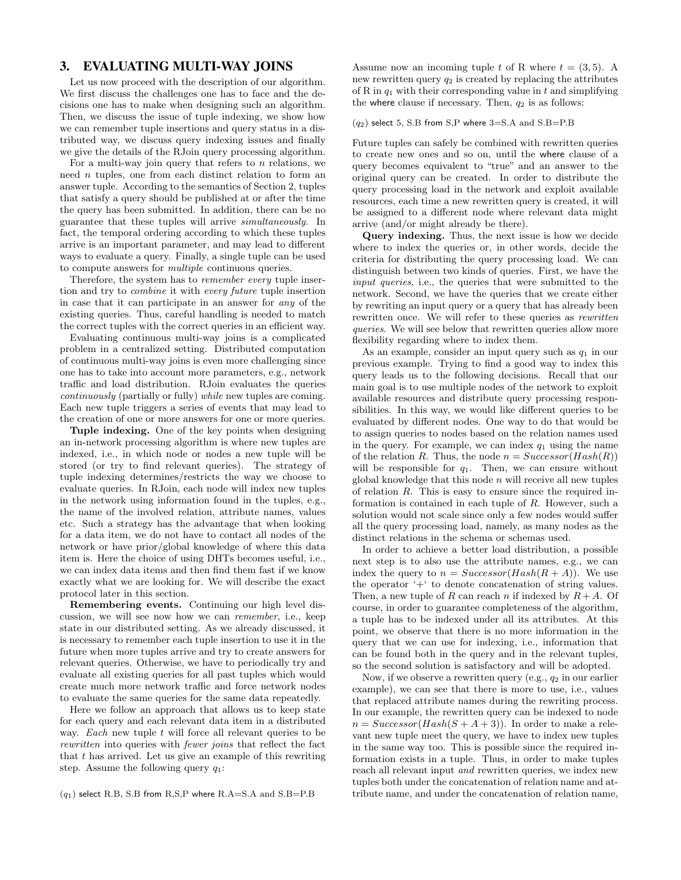# 3. EVALUATING MULTI-WAY JOINS

Let us now proceed with the description of our algorithm. We first discuss the challenges one has to face and the decisions one has to make when designing such an algorithm. Then, we discuss the issue of tuple indexing, we show how we can remember tuple insertions and query status in a distributed way, we discuss query indexing issues and finally we give the details of the RJoin query processing algorithm.

For a multi-way join query that refers to  $n$  relations, we need n tuples, one from each distinct relation to form an answer tuple. According to the semantics of Section 2, tuples that satisfy a query should be published at or after the time the query has been submitted. In addition, there can be no guarantee that these tuples will arrive simultaneously. In fact, the temporal ordering according to which these tuples arrive is an important parameter, and may lead to different ways to evaluate a query. Finally, a single tuple can be used to compute answers for multiple continuous queries.

Therefore, the system has to remember every tuple insertion and try to combine it with every future tuple insertion in case that it can participate in an answer for any of the existing queries. Thus, careful handling is needed to match the correct tuples with the correct queries in an efficient way.

Evaluating continuous multi-way joins is a complicated problem in a centralized setting. Distributed computation of continuous multi-way joins is even more challenging since one has to take into account more parameters, e.g., network traffic and load distribution. RJoin evaluates the queries continuously (partially or fully) while new tuples are coming. Each new tuple triggers a series of events that may lead to the creation of one or more answers for one or more queries.

Tuple indexing. One of the key points when designing an in-network processing algorithm is where new tuples are indexed, i.e., in which node or nodes a new tuple will be stored (or try to find relevant queries). The strategy of tuple indexing determines/restricts the way we choose to evaluate queries. In RJoin, each node will index new tuples in the network using information found in the tuples, e.g., the name of the involved relation, attribute names, values etc. Such a strategy has the advantage that when looking for a data item, we do not have to contact all nodes of the network or have prior/global knowledge of where this data item is. Here the choice of using DHTs becomes useful, i.e., we can index data items and then find them fast if we know exactly what we are looking for. We will describe the exact protocol later in this section.

Remembering events. Continuing our high level discussion, we will see now how we can remember, i.e., keep state in our distributed setting. As we already discussed, it is necessary to remember each tuple insertion to use it in the future when more tuples arrive and try to create answers for relevant queries. Otherwise, we have to periodically try and evaluate all existing queries for all past tuples which would create much more network traffic and force network nodes to evaluate the same queries for the same data repeatedly.

Here we follow an approach that allows us to keep state for each query and each relevant data item in a distributed way. Each new tuple  $t$  will force all relevant queries to be rewritten into queries with *fewer joins* that reflect the fact that  $t$  has arrived. Let us give an example of this rewriting step. Assume the following query  $q_1$ :

Assume now an incoming tuple t of R where  $t = (3, 5)$ . A new rewritten query  $q_2$  is created by replacing the attributes of R in  $q_1$  with their corresponding value in t and simplifying the where clause if necessary. Then,  $q_2$  is as follows:

#### $(q_2)$  select 5, S.B from S,P where 3=S.A and S.B=P.B

Future tuples can safely be combined with rewritten queries to create new ones and so on, until the where clause of a query becomes equivalent to "true" and an answer to the original query can be created. In order to distribute the query processing load in the network and exploit available resources, each time a new rewritten query is created, it will be assigned to a different node where relevant data might arrive (and/or might already be there).

Query indexing. Thus, the next issue is how we decide where to index the queries or, in other words, decide the criteria for distributing the query processing load. We can distinguish between two kinds of queries. First, we have the input queries, i.e., the queries that were submitted to the network. Second, we have the queries that we create either by rewriting an input query or a query that has already been rewritten once. We will refer to these queries as rewritten queries. We will see below that rewritten queries allow more flexibility regarding where to index them.

As an example, consider an input query such as  $q_1$  in our previous example. Trying to find a good way to index this query leads us to the following decisions. Recall that our main goal is to use multiple nodes of the network to exploit available resources and distribute query processing responsibilities. In this way, we would like different queries to be evaluated by different nodes. One way to do that would be to assign queries to nodes based on the relation names used in the query. For example, we can index  $q_1$  using the name of the relation R. Thus, the node  $n = Successor(Hash(R))$ will be responsible for  $q_1$ . Then, we can ensure without global knowledge that this node  $n$  will receive all new tuples of relation R. This is easy to ensure since the required information is contained in each tuple of R. However, such a solution would not scale since only a few nodes would suffer all the query processing load, namely, as many nodes as the distinct relations in the schema or schemas used.

In order to achieve a better load distribution, a possible next step is to also use the attribute names, e.g., we can index the query to  $n = Successor(Hash(R+A))$ . We use the operator '+' to denote concatenation of string values. Then, a new tuple of R can reach n if indexed by  $R+A$ . Of course, in order to guarantee completeness of the algorithm, a tuple has to be indexed under all its attributes. At this point, we observe that there is no more information in the query that we can use for indexing, i.e., information that can be found both in the query and in the relevant tuples, so the second solution is satisfactory and will be adopted.

Now, if we observe a rewritten query (e.g.,  $q_2$  in our earlier example), we can see that there is more to use, i.e., values that replaced attribute names during the rewriting process. In our example, the rewritten query can be indexed to node  $n = Successor(Hash(S + A + 3))$ . In order to make a relevant new tuple meet the query, we have to index new tuples in the same way too. This is possible since the required information exists in a tuple. Thus, in order to make tuples reach all relevant input and rewritten queries, we index new tuples both under the concatenation of relation name and attribute name, and under the concatenation of relation name,

 $(q_1)$  select R.B, S.B from R,S,P where R.A=S.A and S.B=P.B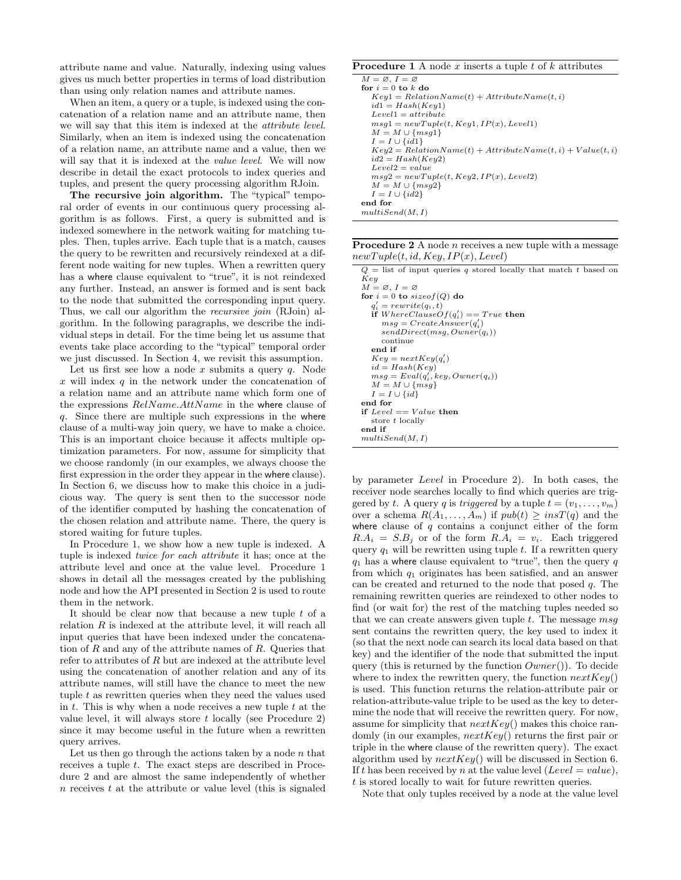attribute name and value. Naturally, indexing using values gives us much better properties in terms of load distribution than using only relation names and attribute names.

When an item, a query or a tuple, is indexed using the concatenation of a relation name and an attribute name, then we will say that this item is indexed at the attribute level. Similarly, when an item is indexed using the concatenation of a relation name, an attribute name and a value, then we will say that it is indexed at the *value level*. We will now describe in detail the exact protocols to index queries and tuples, and present the query processing algorithm RJoin.

The recursive join algorithm. The "typical" temporal order of events in our continuous query processing algorithm is as follows. First, a query is submitted and is indexed somewhere in the network waiting for matching tuples. Then, tuples arrive. Each tuple that is a match, causes the query to be rewritten and recursively reindexed at a different node waiting for new tuples. When a rewritten query has a where clause equivalent to "true", it is not reindexed any further. Instead, an answer is formed and is sent back to the node that submitted the corresponding input query. Thus, we call our algorithm the *recursive join* (RJoin) algorithm. In the following paragraphs, we describe the individual steps in detail. For the time being let us assume that events take place according to the "typical" temporal order we just discussed. In Section 4, we revisit this assumption.

Let us first see how a node x submits a query q. Node x will index  $q$  in the network under the concatenation of a relation name and an attribute name which form one of the expressions  $RelName. AttName$  in the where clause of q. Since there are multiple such expressions in the where clause of a multi-way join query, we have to make a choice. This is an important choice because it affects multiple optimization parameters. For now, assume for simplicity that we choose randomly (in our examples, we always choose the first expression in the order they appear in the where clause). In Section 6, we discuss how to make this choice in a judicious way. The query is sent then to the successor node of the identifier computed by hashing the concatenation of the chosen relation and attribute name. There, the query is stored waiting for future tuples.

In Procedure 1, we show how a new tuple is indexed. A tuple is indexed twice for each attribute it has; once at the attribute level and once at the value level. Procedure 1 shows in detail all the messages created by the publishing node and how the API presented in Section 2 is used to route them in the network.

It should be clear now that because a new tuple t of a relation R is indexed at the attribute level, it will reach all input queries that have been indexed under the concatenation of  $R$  and any of the attribute names of  $R$ . Queries that refer to attributes of  $R$  but are indexed at the attribute level using the concatenation of another relation and any of its attribute names, will still have the chance to meet the new tuple  $t$  as rewritten queries when they need the values used in  $t$ . This is why when a node receives a new tuple  $t$  at the value level, it will always store  $t$  locally (see Procedure 2) since it may become useful in the future when a rewritten query arrives.

Let us then go through the actions taken by a node  $n$  that receives a tuple t. The exact steps are described in Procedure 2 and are almost the same independently of whether  $n$  receives  $t$  at the attribute or value level (this is signaled

#### **Procedure 1** A node  $x$  inserts a tuple  $t$  of  $k$  attributes

 $M = \emptyset, I = \emptyset$ for  $i = 0$  to  $k$  do  $Key1 = RelationName(t) +AttributeName(t, i)$  $id1 = Hash(Key1)$  $Level1 = attribute$  $msg1 = newTuple(t, Key1, IP(x), Level1)$  $M = M \cup \{msg1\}$  $I = I \cup \{id1\}$  $Key2 = RelationName(t) +AttributeName(t, i) + Value(t, i)$  $id2 = Hash(Key2)$  $Level2 = value$  $msg2 = newTuple(t, Key2, IP(x), Level2)$  $M = M \cup \{msg2\}$  $I = I \cup \{i\hat{d2}\}\$ end for  $multiSend(M, I)$ 

Procedure 2 A node *n* receives a new tuple with a message  $newTuple(t, id, Key, IP(x), Level)$ 

| $Q =$ list of input queries q stored locally that match t based on |
|--------------------------------------------------------------------|
| Key                                                                |
| $M = \varnothing, I = \varnothing$                                 |
| for $i = 0$ to size of $(Q)$ do                                    |
| $q'_{i} = rewrite(q_{i}, t)$                                       |
| if $WhereClauseOf(q_i') == True$ then                              |
| $msg = CreateAnswer(q')$                                           |
| $sendDirect(msg,Owner(q_i))$                                       |
| continue                                                           |
| end if                                                             |
| $Key = nextKey(q_i')$                                              |
| $id = Hash(Key)$                                                   |
| $msg =Eval(q'_i, key,Owner(q_i))$                                  |
| $M = M \cup \{msq\}$                                               |
| $I = I \cup \{id\}$                                                |
| end for                                                            |
| if Level $==$ Value then                                           |
| store t locally                                                    |
| end if                                                             |
| multiSend(M, I)                                                    |

by parameter Level in Procedure 2). In both cases, the receiver node searches locally to find which queries are triggered by t. A query q is triggered by a tuple  $t = (v_1, \ldots, v_m)$ over a schema  $R(A_1, \ldots, A_m)$  if  $pub(t) \geq insT(q)$  and the where clause of  $q$  contains a conjunct either of the form  $R.A_i = S.B_j$  or of the form  $R.A_i = v_i$ . Each triggered query  $q_1$  will be rewritten using tuple t. If a rewritten query  $q_1$  has a where clause equivalent to "true", then the query  $q$ from which  $q_1$  originates has been satisfied, and an answer can be created and returned to the node that posed q. The remaining rewritten queries are reindexed to other nodes to find (or wait for) the rest of the matching tuples needed so that we can create answers given tuple  $t$ . The message  $msg$ sent contains the rewritten query, the key used to index it (so that the next node can search its local data based on that key) and the identifier of the node that submitted the input query (this is returned by the function  $Owner()$ ). To decide where to index the rewritten query, the function  $nextKey()$ is used. This function returns the relation-attribute pair or relation-attribute-value triple to be used as the key to determine the node that will receive the rewritten query. For now, assume for simplicity that  $nextKey()$  makes this choice randomly (in our examples,  $nextKey()$  returns the first pair or triple in the where clause of the rewritten query). The exact algorithm used by  $nextKey()$  will be discussed in Section 6. If t has been received by n at the value level (*Level* = value), t is stored locally to wait for future rewritten queries.

Note that only tuples received by a node at the value level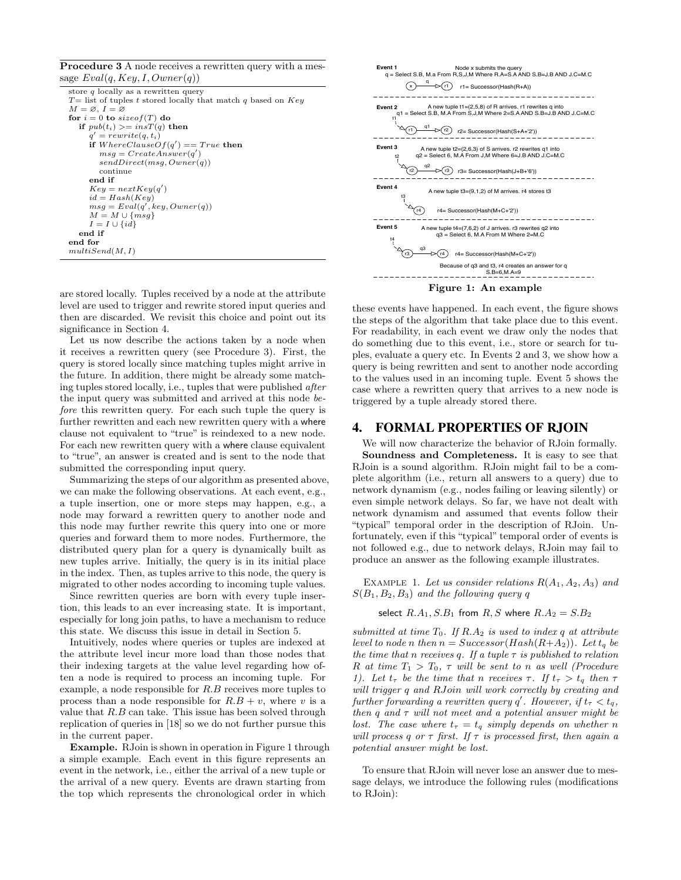Procedure 3 A node receives a rewritten query with a message  $Eval(q, Key, I, Owner(q))$ 

| store $q$ locally as a rewritten query<br>$T=$ list of tuples t stored locally that match q based on $Key$ |  |
|------------------------------------------------------------------------------------------------------------|--|
| $M = \varnothing, I = \varnothing$                                                                         |  |
| for $i = 0$ to size of $(T)$ do                                                                            |  |
| if $pub(t_i) >= insT(q)$ then                                                                              |  |
| $q' = rewrite(q, t_i)$                                                                                     |  |
| if $WhereClauseOf(q') == True$ then                                                                        |  |
| $msg = CreateAnswer(q')$                                                                                   |  |
| sendDirect(msg,Owner(q))                                                                                   |  |
| continue                                                                                                   |  |
| end if                                                                                                     |  |
| $Key = nextKey(q')$                                                                                        |  |
| $id = Hash(Key)$                                                                                           |  |
| $msg =Eval(q', key, Owner(q))$                                                                             |  |
| $M = M \cup \{msq\}$                                                                                       |  |
| $I = I \cup \{id\}$                                                                                        |  |
| end if                                                                                                     |  |
| end for                                                                                                    |  |
| multiSend(M, I)                                                                                            |  |
|                                                                                                            |  |

are stored locally. Tuples received by a node at the attribute level are used to trigger and rewrite stored input queries and then are discarded. We revisit this choice and point out its significance in Section 4.

Let us now describe the actions taken by a node when it receives a rewritten query (see Procedure 3). First, the query is stored locally since matching tuples might arrive in the future. In addition, there might be already some matching tuples stored locally, i.e., tuples that were published after the input query was submitted and arrived at this node before this rewritten query. For each such tuple the query is further rewritten and each new rewritten query with a where clause not equivalent to "true" is reindexed to a new node. For each new rewritten query with a where clause equivalent to "true", an answer is created and is sent to the node that submitted the corresponding input query.

Summarizing the steps of our algorithm as presented above, we can make the following observations. At each event, e.g., a tuple insertion, one or more steps may happen, e.g., a node may forward a rewritten query to another node and this node may further rewrite this query into one or more queries and forward them to more nodes. Furthermore, the distributed query plan for a query is dynamically built as new tuples arrive. Initially, the query is in its initial place in the index. Then, as tuples arrive to this node, the query is migrated to other nodes according to incoming tuple values.

Since rewritten queries are born with every tuple insertion, this leads to an ever increasing state. It is important, especially for long join paths, to have a mechanism to reduce this state. We discuss this issue in detail in Section 5.

Intuitively, nodes where queries or tuples are indexed at the attribute level incur more load than those nodes that their indexing targets at the value level regarding how often a node is required to process an incoming tuple. For example, a node responsible for R.B receives more tuples to process than a node responsible for  $R.B + v$ , where v is a value that  $R.B$  can take. This issue has been solved through replication of queries in [18] so we do not further pursue this in the current paper.

Example. RJoin is shown in operation in Figure 1 through a simple example. Each event in this figure represents an event in the network, i.e., either the arrival of a new tuple or the arrival of a new query. Events are drawn starting from the top which represents the chronological order in which



Figure 1: An example

these events have happened. In each event, the figure shows the steps of the algorithm that take place due to this event. For readability, in each event we draw only the nodes that do something due to this event, i.e., store or search for tuples, evaluate a query etc. In Events 2 and 3, we show how a query is being rewritten and sent to another node according to the values used in an incoming tuple. Event 5 shows the case where a rewritten query that arrives to a new node is triggered by a tuple already stored there.

### 4. FORMAL PROPERTIES OF RJOIN

We will now characterize the behavior of RJoin formally. Soundness and Completeness. It is easy to see that RJoin is a sound algorithm. RJoin might fail to be a complete algorithm (i.e., return all answers to a query) due to network dynamism (e.g., nodes failing or leaving silently) or even simple network delays. So far, we have not dealt with network dynamism and assumed that events follow their "typical" temporal order in the description of RJoin. Unfortunately, even if this "typical" temporal order of events is not followed e.g., due to network delays, RJoin may fail to produce an answer as the following example illustrates.

EXAMPLE 1. Let us consider relations  $R(A_1, A_2, A_3)$  and  $S(B_1, B_2, B_3)$  and the following query q

select  $R.A_1$ ,  $S.B_1$  from  $R.S$  where  $R.A_2 = S.B_2$ 

submitted at time  $T_0$ . If  $R.A_2$  is used to index q at attribute level to node n then  $n = Successor(Hash(R+A_2))$ . Let  $t_q$  be the time that n receives q. If a tuple  $\tau$  is published to relation R at time  $T_1 > T_0$ ,  $\tau$  will be sent to n as well (Procedure 1). Let  $t_{\tau}$  be the time that n receives  $\tau$ . If  $t_{\tau} > t_q$  then  $\tau$ will trigger q and RJoin will work correctly by creating and further forwarding a rewritten query  $q'$ . However, if  $t_{\tau} < t_q$ , then q and  $\tau$  will not meet and a potential answer might be lost. The case where  $t_{\tau} = t_q$  simply depends on whether n will process q or  $\tau$  first. If  $\tau$  is processed first, then again a potential answer might be lost.

To ensure that RJoin will never lose an answer due to message delays, we introduce the following rules (modifications to RJoin):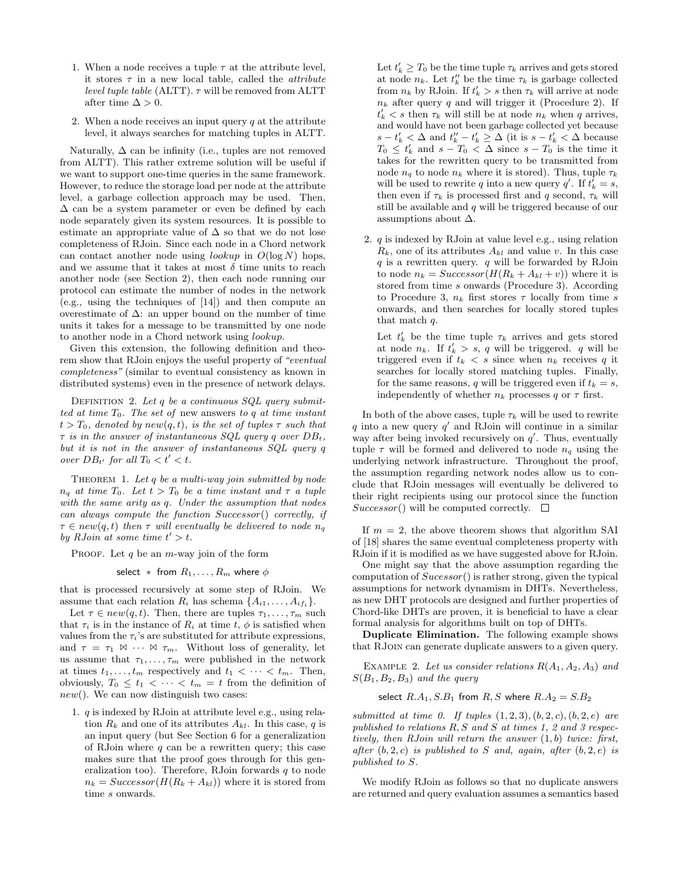- 1. When a node receives a tuple  $\tau$  at the attribute level, it stores  $\tau$  in a new local table, called the *attribute level tuple table* (ALTT).  $\tau$  will be removed from ALTT after time  $\Delta > 0$ .
- 2. When a node receives an input query  $q$  at the attribute level, it always searches for matching tuples in ALTT.

Naturally,  $\Delta$  can be infinity (i.e., tuples are not removed from ALTT). This rather extreme solution will be useful if we want to support one-time queries in the same framework. However, to reduce the storage load per node at the attribute level, a garbage collection approach may be used. Then,  $\Delta$  can be a system parameter or even be defined by each node separately given its system resources. It is possible to estimate an appropriate value of  $\Delta$  so that we do not lose completeness of RJoin. Since each node in a Chord network can contact another node using *lookup* in  $O(\log N)$  hops, and we assume that it takes at most  $\delta$  time units to reach another node (see Section 2), then each node running our protocol can estimate the number of nodes in the network (e.g., using the techniques of [14]) and then compute an overestimate of  $\Delta$ : an upper bound on the number of time units it takes for a message to be transmitted by one node to another node in a Chord network using lookup.

Given this extension, the following definition and theorem show that RJoin enjoys the useful property of "eventual completeness" (similar to eventual consistency as known in distributed systems) even in the presence of network delays.

DEFINITION 2. Let q be a continuous  $SQL$  query submitted at time  $T_0$ . The set of new answers to q at time instant  $t > T_0$ , denoted by new $(q, t)$ , is the set of tuples  $\tau$  such that  $\tau$  is in the answer of instantaneous SQL query q over  $DB_t$ , but it is not in the answer of instantaneous SQL query q over  $DB_{t'}$  for all  $T_0 < t' < t$ .

THEOREM 1. Let  $q$  be a multi-way join submitted by node  $n_q$  at time  $T_0$ . Let  $t > T_0$  be a time instant and  $\tau$  a tuple with the same arity as q. Under the assumption that nodes can always compute the function Successor() correctly, if  $\tau \in new(q, t)$  then  $\tau$  will eventually be delivered to node  $n_q$ by RJoin at some time  $t' > t$ .

PROOF. Let q be an  $m$ -way join of the form

select \* from 
$$
R_1, \ldots, R_m
$$
 where  $\phi$ 

that is processed recursively at some step of RJoin. We assume that each relation  $R_i$  has schema  $\{A_{i1}, \ldots, A_{if_i}\}.$ 

Let  $\tau \in new(q, t)$ . Then, there are tuples  $\tau_1, \ldots, \tau_m$  such that  $\tau_i$  is in the instance of  $R_i$  at time t,  $\phi$  is satisfied when values from the  $\tau_i$ 's are substituted for attribute expressions, and  $\tau = \tau_1 \Join \cdots \Join \tau_m$ . Without loss of generality, let us assume that  $\tau_1, \ldots, \tau_m$  were published in the network at times  $t_1, \ldots, t_m$  respectively and  $t_1 < \cdots < t_m$ . Then, obviously,  $T_0 \leq t_1 < \cdots < t_m = t$  from the definition of  $new()$ . We can now distinguish two cases:

1. q is indexed by RJoin at attribute level e.g., using relation  $R_k$  and one of its attributes  $A_{kl}$ . In this case, q is an input query (but See Section 6 for a generalization of RJoin where  $q$  can be a rewritten query; this case makes sure that the proof goes through for this generalization too). Therefore, RJoin forwards  $q$  to node  $n_k = Successor(H(R_k + A_{kl}))$  where it is stored from time s onwards.

Let  $t'_{k} \geq T_0$  be the time tuple  $\tau_k$  arrives and gets stored at node  $n_k$ . Let  $t''_k$  be the time  $\tau_k$  is garbage collected from  $n_k$  by RJoin. If  $t'_k > s$  then  $\tau_k$  will arrive at node  $n_k$  after query q and will trigger it (Procedure 2). If  $t'_{k} < s$  then  $\tau_{k}$  will still be at node  $n_{k}$  when q arrives, and would have not been garbage collected yet because  $s - t'_{k} < \Delta$  and  $t''_{k} - t'_{k} \geq \Delta$  (it is  $s - t'_{k} < \Delta$  because  $T_0 \leq t'_k$  and  $s - T_0 < \Delta$  since  $s - T_0$  is the time it takes for the rewritten query to be transmitted from node  $n_q$  to node  $n_k$  where it is stored). Thus, tuple  $\tau_k$ will be used to rewrite q into a new query  $q'$ . If  $t'_{k} = s$ , then even if  $\tau_k$  is processed first and q second,  $\tau_k$  will still be available and  $q$  will be triggered because of our assumptions about  $\Delta$ .

2. q is indexed by RJoin at value level e.g., using relation  $R_k$ , one of its attributes  $A_{kl}$  and value v. In this case  $q$  is a rewritten query.  $q$  will be forwarded by RJoin to node  $n_k = Successor(H(R_k+A_{kl}+v))$  where it is stored from time s onwards (Procedure 3). According to Procedure 3,  $n_k$  first stores  $\tau$  locally from time s onwards, and then searches for locally stored tuples that match q.

Let  $t'_{k}$  be the time tuple  $\tau_{k}$  arrives and gets stored at node  $n_k$ . If  $t'_k > s$ , q will be triggered. q will be triggered even if  $t_k < s$  since when  $n_k$  receives q it searches for locally stored matching tuples. Finally, for the same reasons, q will be triggered even if  $t_k = s$ , independently of whether  $n_k$  processes q or  $\tau$  first.

In both of the above cases, tuple  $\tau_k$  will be used to rewrite  $q$  into a new query  $q'$  and RJoin will continue in a similar way after being invoked recursively on  $q'$ . Thus, eventually tuple  $\tau$  will be formed and delivered to node  $n_q$  using the underlying network infrastructure. Throughout the proof, the assumption regarding network nodes allow us to conclude that RJoin messages will eventually be delivered to their right recipients using our protocol since the function Successor() will be computed correctly.  $\Box$ 

If  $m = 2$ , the above theorem shows that algorithm SAI of [18] shares the same eventual completeness property with RJoin if it is modified as we have suggested above for RJoin.

One might say that the above assumption regarding the computation of Sucessor() is rather strong, given the typical assumptions for network dynamism in DHTs. Nevertheless, as new DHT protocols are designed and further properties of Chord-like DHTs are proven, it is beneficial to have a clear formal analysis for algorithms built on top of DHTs.

Duplicate Elimination. The following example shows that RJoin can generate duplicate answers to a given query.

EXAMPLE 2. Let us consider relations  $R(A_1, A_2, A_3)$  and  $S(B_1, B_2, B_3)$  and the query

select  $R.A_1$ ,  $S.B_1$  from  $R, S$  where  $R.A_2 = S.B_2$ 

submitted at time 0. If tuples  $(1, 2, 3), (b, 2, c), (b, 2, e)$  are published to relations  $R, S$  and  $S$  at times 1, 2 and 3 respectively, then  $RJoin$  will return the answer  $(1,b)$  twice: first, after  $(b, 2, c)$  is published to S and, again, after  $(b, 2, e)$  is published to S.

We modify RJoin as follows so that no duplicate answers are returned and query evaluation assumes a semantics based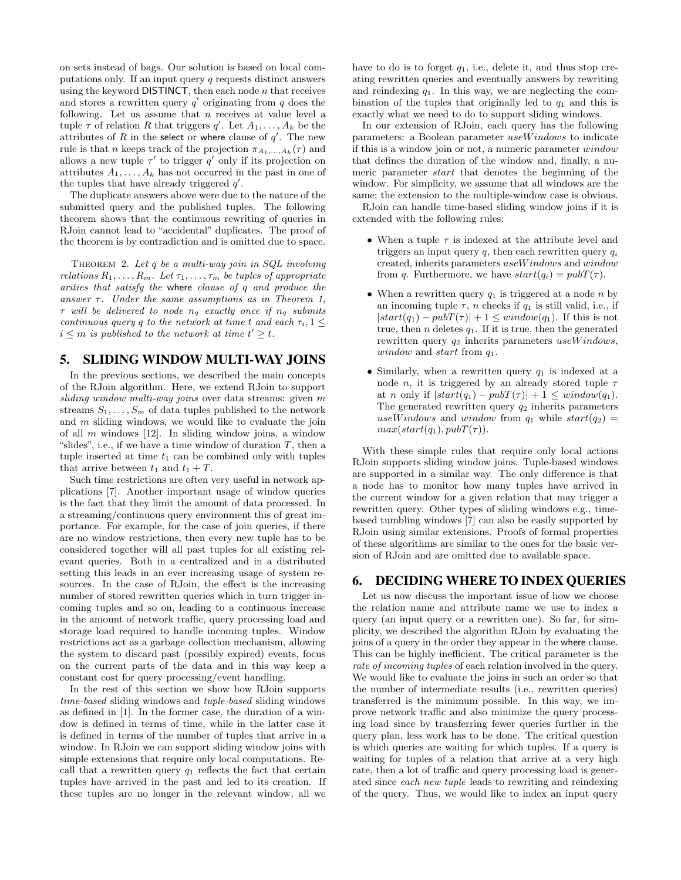on sets instead of bags. Our solution is based on local computations only. If an input query q requests distinct answers using the keyword  $DISTINCT$ , then each node *n* that receives and stores a rewritten query  $q'$  originating from q does the following. Let us assume that  $n$  receives at value level a tuple  $\tau$  of relation R that triggers  $q'$ . Let  $A_1, \ldots, A_k$  be the attributes of R in the select or where clause of  $q'$ . The new rule is that *n* keeps track of the projection  $\pi_{A_1,...,A_k}(\tau)$  and allows a new tuple  $\tau'$  to trigger q' only if its projection on attributes  $A_1, \ldots, A_k$  has not occurred in the past in one of the tuples that have already triggered  $q'$ .

The duplicate answers above were due to the nature of the submitted query and the published tuples. The following theorem shows that the continuous rewriting of queries in RJoin cannot lead to "accidental" duplicates. The proof of the theorem is by contradiction and is omitted due to space.

THEOREM 2. Let q be a multi-way join in  $SQL$  involving relations  $R_1, \ldots, R_m$ . Let  $\tau_1, \ldots, \tau_m$  be tuples of appropriate arities that satisfy the where clause of q and produce the answer  $\tau$ . Under the same assumptions as in Theorem 1,  $\tau$  will be delivered to node  $n_q$  exactly once if  $n_q$  submits continuous query q to the network at time t and each  $\tau_i$ ,  $1 \leq$  $i \leq m$  is published to the network at time  $t' \geq t$ .

# 5. SLIDING WINDOW MULTI-WAY JOINS

In the previous sections, we described the main concepts of the RJoin algorithm. Here, we extend RJoin to support sliding window multi-way joins over data streams: given m streams  $S_1, \ldots, S_m$  of data tuples published to the network and m sliding windows, we would like to evaluate the join of all  $m$  windows [12]. In sliding window joins, a window "slides", i.e., if we have a time window of duration  $T$ , then a tuple inserted at time  $t_1$  can be combined only with tuples that arrive between  $t_1$  and  $t_1 + T$ .

Such time restrictions are often very useful in network applications [7]. Another important usage of window queries is the fact that they limit the amount of data processed. In a streaming/continuous query environment this of great importance. For example, for the case of join queries, if there are no window restrictions, then every new tuple has to be considered together will all past tuples for all existing relevant queries. Both in a centralized and in a distributed setting this leads in an ever increasing usage of system resources. In the case of RJoin, the effect is the increasing number of stored rewritten queries which in turn trigger incoming tuples and so on, leading to a continuous increase in the amount of network traffic, query processing load and storage load required to handle incoming tuples. Window restrictions act as a garbage collection mechanism, allowing the system to discard past (possibly expired) events, focus on the current parts of the data and in this way keep a constant cost for query processing/event handling.

In the rest of this section we show how RJoin supports time-based sliding windows and tuple-based sliding windows as defined in [1]. In the former case, the duration of a window is defined in terms of time, while in the latter case it is defined in terms of the number of tuples that arrive in a window. In RJoin we can support sliding window joins with simple extensions that require only local computations. Recall that a rewritten query  $q_1$  reflects the fact that certain tuples have arrived in the past and led to its creation. If these tuples are no longer in the relevant window, all we

have to do is to forget  $q_1$ , i.e., delete it, and thus stop creating rewritten queries and eventually answers by rewriting and reindexing  $q_1$ . In this way, we are neglecting the combination of the tuples that originally led to  $q_1$  and this is exactly what we need to do to support sliding windows.

In our extension of RJoin, each query has the following parameters: a Boolean parameter useW indows to indicate if this is a window join or not, a numeric parameter window that defines the duration of the window and, finally, a numeric parameter start that denotes the beginning of the window. For simplicity, we assume that all windows are the same; the extension to the multiple-window case is obvious.

RJoin can handle time-based sliding window joins if it is extended with the following rules:

- When a tuple  $\tau$  is indexed at the attribute level and triggers an input query  $q$ , then each rewritten query  $q_i$ created, inherits parameters useW indows and window from q. Furthermore, we have  $start(q_i) = pubT(\tau)$ .
- When a rewritten query  $q_1$  is triggered at a node n by an incoming tuple  $\tau$ , *n* checks if  $q_1$  is still valid, i.e., if  $|start(q_1) - pubT(\tau)| + 1 \leq window(q_1)$ . If this is not true, then  $n$  deletes  $q_1$ . If it is true, then the generated rewritten query  $q_2$  inherits parameters  $useWindows$ , window and start from  $q_1$ .
- Similarly, when a rewritten query  $q_1$  is indexed at a node *n*, it is triggered by an already stored tuple  $\tau$ at n only if  $|start(q_1) - pubT(\tau)| + 1 \leq window(q_1)$ . The generated rewritten query  $q_2$  inherits parameters useWindows and window from  $q_1$  while  $start(q_2)$  $max(start(q_1), pubT(\tau)).$

With these simple rules that require only local actions RJoin supports sliding window joins. Tuple-based windows are supported in a similar way. The only difference is that a node has to monitor how many tuples have arrived in the current window for a given relation that may trigger a rewritten query. Other types of sliding windows e.g., timebased tumbling windows [7] can also be easily supported by RJoin using similar extensions. Proofs of formal properties of these algorithms are similar to the ones for the basic version of RJoin and are omitted due to available space.

# 6. DECIDING WHERE TO INDEX QUERIES

Let us now discuss the important issue of how we choose the relation name and attribute name we use to index a query (an input query or a rewritten one). So far, for simplicity, we described the algorithm RJoin by evaluating the joins of a query in the order they appear in the where clause. This can be highly inefficient. The critical parameter is the rate of incoming tuples of each relation involved in the query. We would like to evaluate the joins in such an order so that the number of intermediate results (i.e., rewritten queries) transferred is the minimum possible. In this way, we improve network traffic and also minimize the query processing load since by transferring fewer queries further in the query plan, less work has to be done. The critical question is which queries are waiting for which tuples. If a query is waiting for tuples of a relation that arrive at a very high rate, then a lot of traffic and query processing load is generated since each new tuple leads to rewriting and reindexing of the query. Thus, we would like to index an input query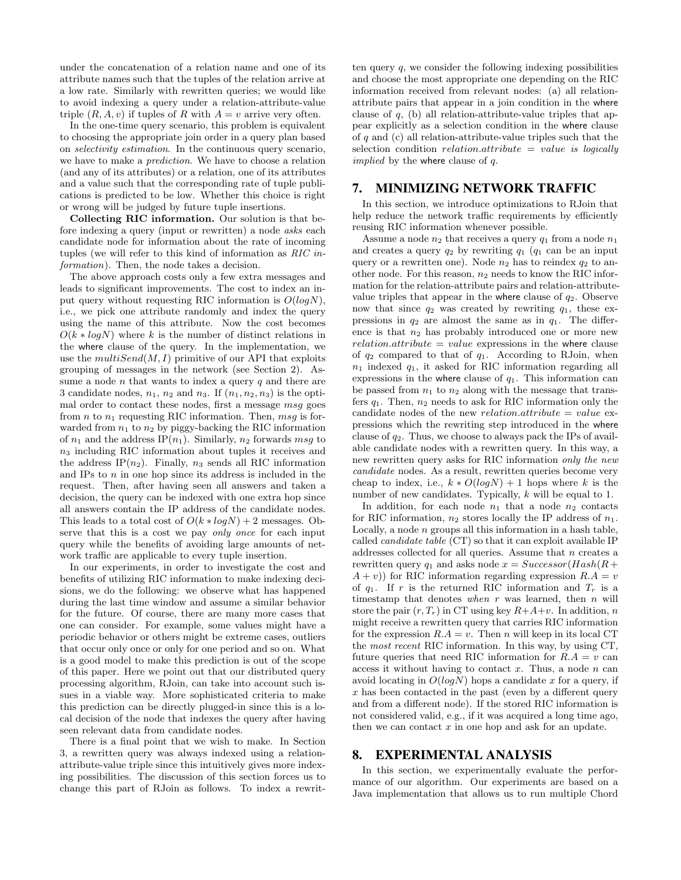under the concatenation of a relation name and one of its attribute names such that the tuples of the relation arrive at a low rate. Similarly with rewritten queries; we would like to avoid indexing a query under a relation-attribute-value triple  $(R, A, v)$  if tuples of R with  $A = v$  arrive very often.

In the one-time query scenario, this problem is equivalent to choosing the appropriate join order in a query plan based on selectivity estimation. In the continuous query scenario, we have to make a prediction. We have to choose a relation (and any of its attributes) or a relation, one of its attributes and a value such that the corresponding rate of tuple publications is predicted to be low. Whether this choice is right or wrong will be judged by future tuple insertions.

Collecting RIC information. Our solution is that before indexing a query (input or rewritten) a node asks each candidate node for information about the rate of incoming tuples (we will refer to this kind of information as RIC information). Then, the node takes a decision.

The above approach costs only a few extra messages and leads to significant improvements. The cost to index an input query without requesting RIC information is  $O(logN)$ , i.e., we pick one attribute randomly and index the query using the name of this attribute. Now the cost becomes  $O(k * log N)$  where k is the number of distinct relations in the where clause of the query. In the implementation, we use the  $multiSend(M, I)$  primitive of our API that exploits grouping of messages in the network (see Section 2). Assume a node  $n$  that wants to index a query  $q$  and there are 3 candidate nodes,  $n_1$ ,  $n_2$  and  $n_3$ . If  $(n_1, n_2, n_3)$  is the optimal order to contact these nodes, first a message msg goes from n to  $n_1$  requesting RIC information. Then, msg is forwarded from  $n_1$  to  $n_2$  by piggy-backing the RIC information of  $n_1$  and the address IP( $n_1$ ). Similarly,  $n_2$  forwards msg to  $n<sub>3</sub>$  including RIC information about tuples it receives and the address IP $(n_2)$ . Finally,  $n_3$  sends all RIC information and IPs to  $n$  in one hop since its address is included in the request. Then, after having seen all answers and taken a decision, the query can be indexed with one extra hop since all answers contain the IP address of the candidate nodes. This leads to a total cost of  $O(k * log N) + 2$  messages. Observe that this is a cost we pay *only once* for each input query while the benefits of avoiding large amounts of network traffic are applicable to every tuple insertion.

In our experiments, in order to investigate the cost and benefits of utilizing RIC information to make indexing decisions, we do the following: we observe what has happened during the last time window and assume a similar behavior for the future. Of course, there are many more cases that one can consider. For example, some values might have a periodic behavior or others might be extreme cases, outliers that occur only once or only for one period and so on. What is a good model to make this prediction is out of the scope of this paper. Here we point out that our distributed query processing algorithm, RJoin, can take into account such issues in a viable way. More sophisticated criteria to make this prediction can be directly plugged-in since this is a local decision of the node that indexes the query after having seen relevant data from candidate nodes.

There is a final point that we wish to make. In Section 3, a rewritten query was always indexed using a relationattribute-value triple since this intuitively gives more indexing possibilities. The discussion of this section forces us to change this part of RJoin as follows. To index a rewritten query  $q$ , we consider the following indexing possibilities and choose the most appropriate one depending on the RIC information received from relevant nodes: (a) all relationattribute pairs that appear in a join condition in the where clause of  $q$ , (b) all relation-attribute-value triples that appear explicitly as a selection condition in the where clause of  $q$  and (c) all relation-attribute-value triples such that the selection condition *relation.attribute* = value is logically implied by the where clause of q.

### 7. MINIMIZING NETWORK TRAFFIC

In this section, we introduce optimizations to RJoin that help reduce the network traffic requirements by efficiently reusing RIC information whenever possible.

Assume a node  $n_2$  that receives a query  $q_1$  from a node  $n_1$ and creates a query  $q_2$  by rewriting  $q_1$  ( $q_1$  can be an input query or a rewritten one). Node  $n_2$  has to reindex  $q_2$  to another node. For this reason,  $n_2$  needs to know the RIC information for the relation-attribute pairs and relation-attributevalue triples that appear in the where clause of  $q_2$ . Observe now that since  $q_2$  was created by rewriting  $q_1$ , these expressions in  $q_2$  are almost the same as in  $q_1$ . The difference is that  $n_2$  has probably introduced one or more new  $relation.attribute = value$  expressions in the where clause of  $q_2$  compared to that of  $q_1$ . According to RJoin, when  $n_1$  indexed  $q_1$ , it asked for RIC information regarding all expressions in the where clause of  $q_1$ . This information can be passed from  $n_1$  to  $n_2$  along with the message that transfers  $q_1$ . Then,  $n_2$  needs to ask for RIC information only the candidate nodes of the new *relation.attribute* = value expressions which the rewriting step introduced in the where clause of  $q_2$ . Thus, we choose to always pack the IPs of available candidate nodes with a rewritten query. In this way, a new rewritten query asks for RIC information *only the new* candidate nodes. As a result, rewritten queries become very cheap to index, i.e.,  $k * O(log N) + 1$  hops where k is the number of new candidates. Typically, k will be equal to 1.

In addition, for each node  $n_1$  that a node  $n_2$  contacts for RIC information,  $n_2$  stores locally the IP address of  $n_1$ . Locally, a node  $n$  groups all this information in a hash table, called candidate table (CT) so that it can exploit available IP addresses collected for all queries. Assume that  $n$  creates a rewritten query  $q_1$  and asks node  $x = Successor(Hash(R +$  $(A + v)$  for RIC information regarding expression  $R.A = v$ of  $q_1$ . If r is the returned RIC information and  $T_r$  is a timestamp that denotes when  $r$  was learned, then  $n$  will store the pair  $(r, T_r)$  in CT using key  $R+A+v$ . In addition, n might receive a rewritten query that carries RIC information for the expression  $R.A = v$ . Then *n* will keep in its local CT the most recent RIC information. In this way, by using CT, future queries that need RIC information for  $R.A = v$  can access it without having to contact  $x$ . Thus, a node  $n$  can avoid locating in  $O(logN)$  hops a candidate x for a query, if  $x$  has been contacted in the past (even by a different query and from a different node). If the stored RIC information is not considered valid, e.g., if it was acquired a long time ago, then we can contact  $x$  in one hop and ask for an update.

## 8. EXPERIMENTAL ANALYSIS

In this section, we experimentally evaluate the performance of our algorithm. Our experiments are based on a Java implementation that allows us to run multiple Chord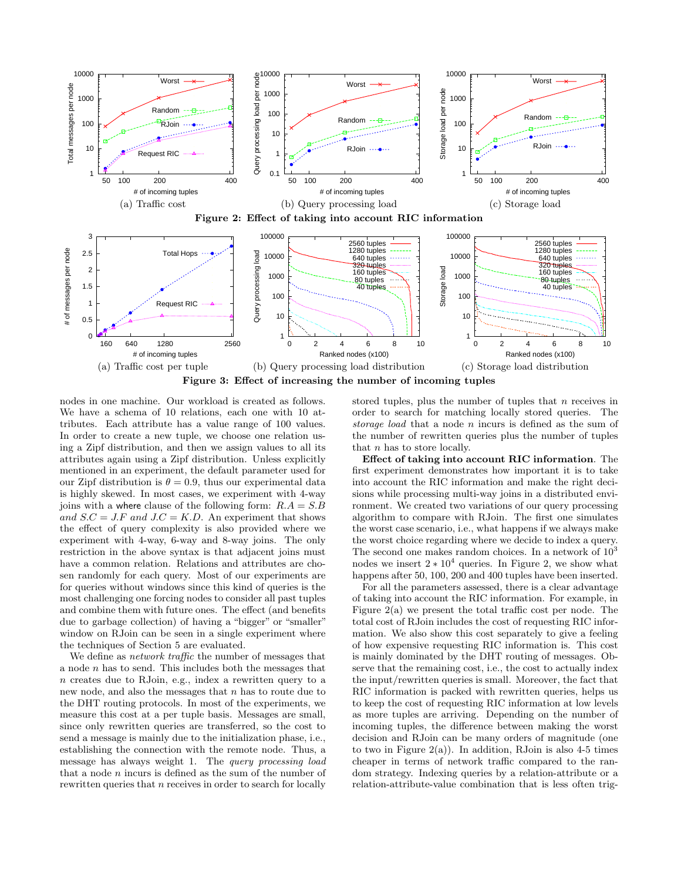

nodes in one machine. Our workload is created as follows. We have a schema of 10 relations, each one with 10 attributes. Each attribute has a value range of 100 values. In order to create a new tuple, we choose one relation using a Zipf distribution, and then we assign values to all its attributes again using a Zipf distribution. Unless explicitly mentioned in an experiment, the default parameter used for our Zipf distribution is  $\theta = 0.9$ , thus our experimental data is highly skewed. In most cases, we experiment with 4-way joins with a where clause of the following form:  $R.A = S.B$ and  $S.C = J.F$  and  $J.C = K.D$ . An experiment that shows the effect of query complexity is also provided where we experiment with 4-way, 6-way and 8-way joins. The only restriction in the above syntax is that adjacent joins must have a common relation. Relations and attributes are chosen randomly for each query. Most of our experiments are for queries without windows since this kind of queries is the most challenging one forcing nodes to consider all past tuples and combine them with future ones. The effect (and benefits due to garbage collection) of having a "bigger" or "smaller" window on RJoin can be seen in a single experiment where the techniques of Section 5 are evaluated.

We define as *network traffic* the number of messages that a node n has to send. This includes both the messages that n creates due to RJoin, e.g., index a rewritten query to a new node, and also the messages that  $n$  has to route due to the DHT routing protocols. In most of the experiments, we measure this cost at a per tuple basis. Messages are small, since only rewritten queries are transferred, so the cost to send a message is mainly due to the initialization phase, i.e., establishing the connection with the remote node. Thus, a message has always weight 1. The query processing load that a node  $n$  incurs is defined as the sum of the number of rewritten queries that *n* receives in order to search for locally

stored tuples, plus the number of tuples that  $n$  receives in order to search for matching locally stored queries. The storage load that a node n incurs is defined as the sum of the number of rewritten queries plus the number of tuples that n has to store locally.

Effect of taking into account RIC information. The first experiment demonstrates how important it is to take into account the RIC information and make the right decisions while processing multi-way joins in a distributed environment. We created two variations of our query processing algorithm to compare with RJoin. The first one simulates the worst case scenario, i.e., what happens if we always make the worst choice regarding where we decide to index a query. The second one makes random choices. In a network of  $10<sup>3</sup>$ nodes we insert  $2 \times 10^4$  queries. In Figure 2, we show what happens after 50, 100, 200 and 400 tuples have been inserted.

For all the parameters assessed, there is a clear advantage of taking into account the RIC information. For example, in Figure 2(a) we present the total traffic cost per node. The total cost of RJoin includes the cost of requesting RIC information. We also show this cost separately to give a feeling of how expensive requesting RIC information is. This cost is mainly dominated by the DHT routing of messages. Observe that the remaining cost, i.e., the cost to actually index the input/rewritten queries is small. Moreover, the fact that RIC information is packed with rewritten queries, helps us to keep the cost of requesting RIC information at low levels as more tuples are arriving. Depending on the number of incoming tuples, the difference between making the worst decision and RJoin can be many orders of magnitude (one to two in Figure  $2(a)$ ). In addition, RJoin is also 4-5 times cheaper in terms of network traffic compared to the random strategy. Indexing queries by a relation-attribute or a relation-attribute-value combination that is less often trig-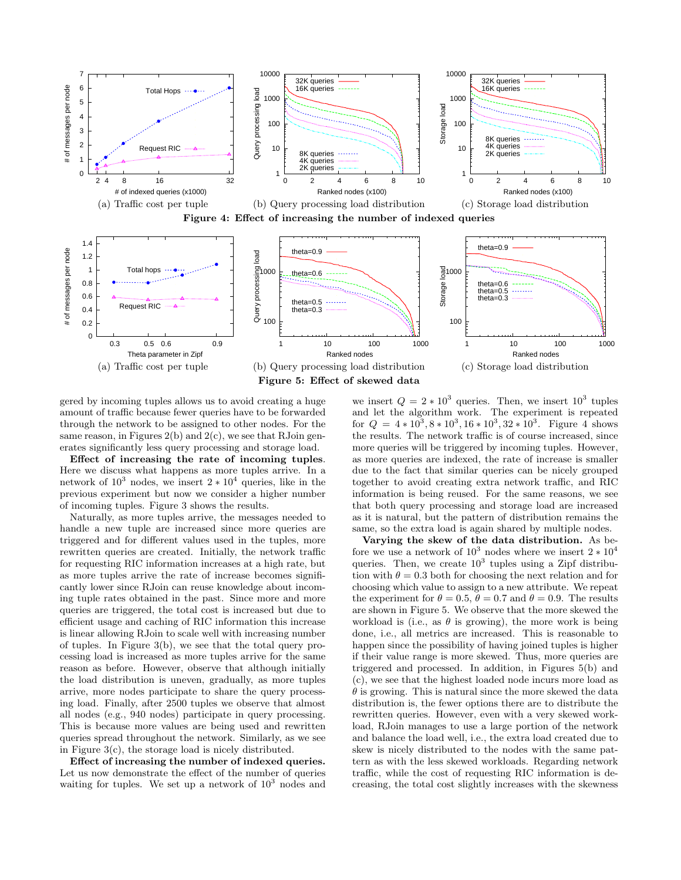

gered by incoming tuples allows us to avoid creating a huge amount of traffic because fewer queries have to be forwarded through the network to be assigned to other nodes. For the same reason, in Figures  $2(b)$  and  $2(c)$ , we see that RJoin generates significantly less query processing and storage load.

Effect of increasing the rate of incoming tuples. Here we discuss what happens as more tuples arrive. In a network of  $10^3$  nodes, we insert  $2 * 10^4$  queries, like in the previous experiment but now we consider a higher number of incoming tuples. Figure 3 shows the results.

Naturally, as more tuples arrive, the messages needed to handle a new tuple are increased since more queries are triggered and for different values used in the tuples, more rewritten queries are created. Initially, the network traffic for requesting RIC information increases at a high rate, but as more tuples arrive the rate of increase becomes significantly lower since RJoin can reuse knowledge about incoming tuple rates obtained in the past. Since more and more queries are triggered, the total cost is increased but due to efficient usage and caching of RIC information this increase is linear allowing RJoin to scale well with increasing number of tuples. In Figure 3(b), we see that the total query processing load is increased as more tuples arrive for the same reason as before. However, observe that although initially the load distribution is uneven, gradually, as more tuples arrive, more nodes participate to share the query processing load. Finally, after 2500 tuples we observe that almost all nodes (e.g., 940 nodes) participate in query processing. This is because more values are being used and rewritten queries spread throughout the network. Similarly, as we see in Figure 3(c), the storage load is nicely distributed.

Effect of increasing the number of indexed queries. Let us now demonstrate the effect of the number of queries waiting for tuples. We set up a network of  $10<sup>3</sup>$  nodes and

we insert  $Q = 2 * 10^3$  queries. Then, we insert  $10^3$  tuples and let the algorithm work. The experiment is repeated for  $Q = 4 * 10^3$ ,  $8 * 10^3$ ,  $16 * 10^3$ ,  $32 * 10^3$ . Figure 4 shows the results. The network traffic is of course increased, since more queries will be triggered by incoming tuples. However, as more queries are indexed, the rate of increase is smaller due to the fact that similar queries can be nicely grouped together to avoid creating extra network traffic, and RIC information is being reused. For the same reasons, we see that both query processing and storage load are increased as it is natural, but the pattern of distribution remains the same, so the extra load is again shared by multiple nodes.

Varying the skew of the data distribution. As before we use a network of  $10^3$  nodes where we insert  $2 * 10^4$ queries. Then, we create  $10^3$  tuples using a Zipf distribution with  $\theta = 0.3$  both for choosing the next relation and for choosing which value to assign to a new attribute. We repeat the experiment for  $\theta = 0.5$ ,  $\theta = 0.7$  and  $\theta = 0.9$ . The results are shown in Figure 5. We observe that the more skewed the workload is (i.e., as  $\theta$  is growing), the more work is being done, i.e., all metrics are increased. This is reasonable to happen since the possibility of having joined tuples is higher if their value range is more skewed. Thus, more queries are triggered and processed. In addition, in Figures 5(b) and (c), we see that the highest loaded node incurs more load as  $\theta$  is growing. This is natural since the more skewed the data distribution is, the fewer options there are to distribute the rewritten queries. However, even with a very skewed workload, RJoin manages to use a large portion of the network and balance the load well, i.e., the extra load created due to skew is nicely distributed to the nodes with the same pattern as with the less skewed workloads. Regarding network traffic, while the cost of requesting RIC information is decreasing, the total cost slightly increases with the skewness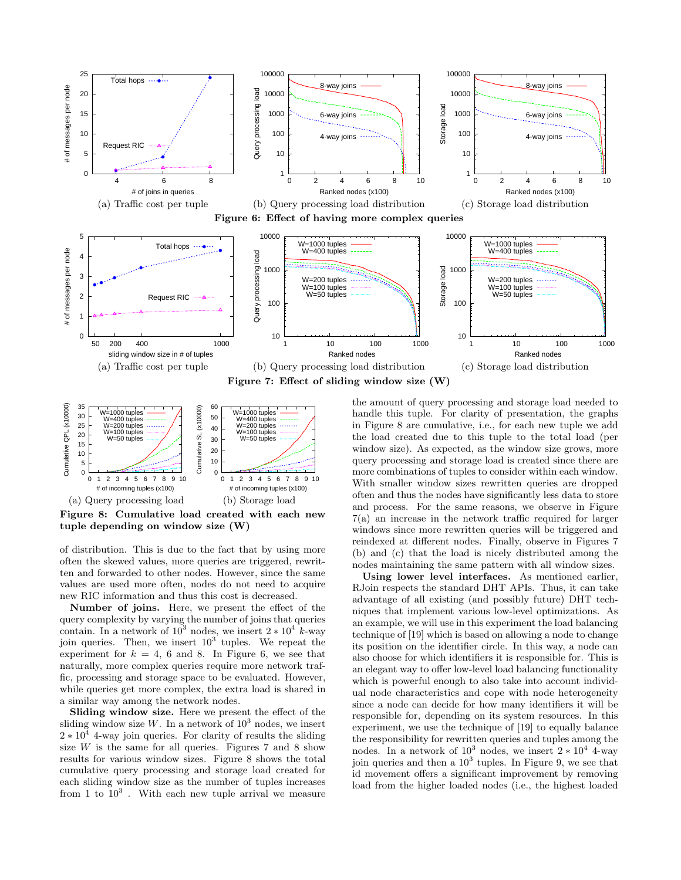



Figure 8: Cumulative load created with each new tuple depending on window size (W)

of distribution. This is due to the fact that by using more often the skewed values, more queries are triggered, rewritten and forwarded to other nodes. However, since the same values are used more often, nodes do not need to acquire new RIC information and thus this cost is decreased.

Number of joins. Here, we present the effect of the query complexity by varying the number of joins that queries contain. In a network of  $10^3$  nodes, we insert  $2 * 10^4$  k-way join queries. Then, we insert  $10^3$  tuples. We repeat the experiment for  $k = 4$ , 6 and 8. In Figure 6, we see that naturally, more complex queries require more network traffic, processing and storage space to be evaluated. However, while queries get more complex, the extra load is shared in a similar way among the network nodes.

Sliding window size. Here we present the effect of the sliding window size W. In a network of  $10<sup>3</sup>$  nodes, we insert  $2 * 10<sup>4</sup>$  4-way join queries. For clarity of results the sliding size  $W$  is the same for all queries. Figures 7 and 8 show results for various window sizes. Figure 8 shows the total cumulative query processing and storage load created for each sliding window size as the number of tuples increases from 1 to  $10^3$ . With each new tuple arrival we measure

the amount of query processing and storage load needed to handle this tuple. For clarity of presentation, the graphs in Figure 8 are cumulative, i.e., for each new tuple we add the load created due to this tuple to the total load (per window size). As expected, as the window size grows, more query processing and storage load is created since there are more combinations of tuples to consider within each window. With smaller window sizes rewritten queries are dropped often and thus the nodes have significantly less data to store and process. For the same reasons, we observe in Figure 7(a) an increase in the network traffic required for larger windows since more rewritten queries will be triggered and reindexed at different nodes. Finally, observe in Figures 7 (b) and (c) that the load is nicely distributed among the nodes maintaining the same pattern with all window sizes.

Using lower level interfaces. As mentioned earlier, RJoin respects the standard DHT APIs. Thus, it can take advantage of all existing (and possibly future) DHT techniques that implement various low-level optimizations. As an example, we will use in this experiment the load balancing technique of [19] which is based on allowing a node to change its position on the identifier circle. In this way, a node can also choose for which identifiers it is responsible for. This is an elegant way to offer low-level load balancing functionality which is powerful enough to also take into account individual node characteristics and cope with node heterogeneity since a node can decide for how many identifiers it will be responsible for, depending on its system resources. In this experiment, we use the technique of [19] to equally balance the responsibility for rewritten queries and tuples among the nodes. In a network of  $10^3$  nodes, we insert  $2 * 10^4$  4-way join queries and then a  $10^3$  tuples. In Figure 9, we see that id movement offers a significant improvement by removing load from the higher loaded nodes (i.e., the highest loaded